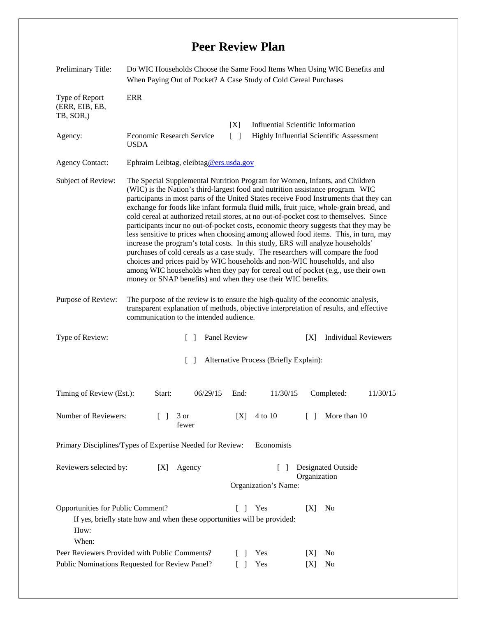## **Peer Review Plan**

| Preliminary Title:                                                      | Do WIC Households Choose the Same Food Items When Using WIC Benefits and<br>When Paying Out of Pocket? A Case Study of Cold Cereal Purchases                                                                                                                                                                                                                                                                                                                                                                                                                                                                                                                                                                                                                                                                                                                                                                                                                                                                                         |                                           |                                                 |                                    |                             |  |
|-------------------------------------------------------------------------|--------------------------------------------------------------------------------------------------------------------------------------------------------------------------------------------------------------------------------------------------------------------------------------------------------------------------------------------------------------------------------------------------------------------------------------------------------------------------------------------------------------------------------------------------------------------------------------------------------------------------------------------------------------------------------------------------------------------------------------------------------------------------------------------------------------------------------------------------------------------------------------------------------------------------------------------------------------------------------------------------------------------------------------|-------------------------------------------|-------------------------------------------------|------------------------------------|-----------------------------|--|
| Type of Report<br>(ERR, EIB, EB,<br>TB, SOR,)                           | <b>ERR</b>                                                                                                                                                                                                                                                                                                                                                                                                                                                                                                                                                                                                                                                                                                                                                                                                                                                                                                                                                                                                                           |                                           |                                                 |                                    |                             |  |
|                                                                         |                                                                                                                                                                                                                                                                                                                                                                                                                                                                                                                                                                                                                                                                                                                                                                                                                                                                                                                                                                                                                                      | [X]                                       | <b>Influential Scientific Information</b>       |                                    |                             |  |
| Agency:                                                                 | Economic Research Service<br><b>USDA</b>                                                                                                                                                                                                                                                                                                                                                                                                                                                                                                                                                                                                                                                                                                                                                                                                                                                                                                                                                                                             | $\Box$                                    | <b>Highly Influential Scientific Assessment</b> |                                    |                             |  |
| <b>Agency Contact:</b>                                                  | Ephraim Leibtag, eleibtag@ers.usda.gov                                                                                                                                                                                                                                                                                                                                                                                                                                                                                                                                                                                                                                                                                                                                                                                                                                                                                                                                                                                               |                                           |                                                 |                                    |                             |  |
| Subject of Review:                                                      | The Special Supplemental Nutrition Program for Women, Infants, and Children<br>(WIC) is the Nation's third-largest food and nutrition assistance program. WIC<br>participants in most parts of the United States receive Food Instruments that they can<br>exchange for foods like infant formula fluid milk, fruit juice, whole-grain bread, and<br>cold cereal at authorized retail stores, at no out-of-pocket cost to themselves. Since<br>participants incur no out-of-pocket costs, economic theory suggests that they may be<br>less sensitive to prices when choosing among allowed food items. This, in turn, may<br>increase the program's total costs. In this study, ERS will analyze households'<br>purchases of cold cereals as a case study. The researchers will compare the food<br>choices and prices paid by WIC households and non-WIC households, and also<br>among WIC households when they pay for cereal out of pocket (e.g., use their own<br>money or SNAP benefits) and when they use their WIC benefits. |                                           |                                                 |                                    |                             |  |
| Purpose of Review:                                                      | The purpose of the review is to ensure the high-quality of the economic analysis,<br>transparent explanation of methods, objective interpretation of results, and effective<br>communication to the intended audience.                                                                                                                                                                                                                                                                                                                                                                                                                                                                                                                                                                                                                                                                                                                                                                                                               |                                           |                                                 |                                    |                             |  |
| Type of Review:                                                         | $\mathcal{L}$                                                                                                                                                                                                                                                                                                                                                                                                                                                                                                                                                                                                                                                                                                                                                                                                                                                                                                                                                                                                                        | Panel Review                              |                                                 | [X]                                | <b>Individual Reviewers</b> |  |
| Alternative Process (Briefly Explain):<br>$\Box$                        |                                                                                                                                                                                                                                                                                                                                                                                                                                                                                                                                                                                                                                                                                                                                                                                                                                                                                                                                                                                                                                      |                                           |                                                 |                                    |                             |  |
| Timing of Review (Est.):                                                | 06/29/15<br>Start:                                                                                                                                                                                                                                                                                                                                                                                                                                                                                                                                                                                                                                                                                                                                                                                                                                                                                                                                                                                                                   | End:                                      | 11/30/15                                        | Completed:                         | 11/30/15                    |  |
| Number of Reviewers:                                                    | 3 or<br>$\Box$<br>fewer                                                                                                                                                                                                                                                                                                                                                                                                                                                                                                                                                                                                                                                                                                                                                                                                                                                                                                                                                                                                              | [X]                                       | 4 to 10                                         | $\lceil \rceil$                    | More than 10                |  |
| Economists<br>Primary Disciplines/Types of Expertise Needed for Review: |                                                                                                                                                                                                                                                                                                                                                                                                                                                                                                                                                                                                                                                                                                                                                                                                                                                                                                                                                                                                                                      |                                           |                                                 |                                    |                             |  |
| Reviewers selected by:                                                  | Agency<br>[X]                                                                                                                                                                                                                                                                                                                                                                                                                                                                                                                                                                                                                                                                                                                                                                                                                                                                                                                                                                                                                        |                                           | $\Box$<br>Organization's Name:                  | Designated Outside<br>Organization |                             |  |
| Opportunities for Public Comment?<br>How:<br>When:                      | If yes, briefly state how and when these opportunities will be provided:                                                                                                                                                                                                                                                                                                                                                                                                                                                                                                                                                                                                                                                                                                                                                                                                                                                                                                                                                             | $\begin{bmatrix} \end{bmatrix}$<br>$\Box$ | Yes                                             | [X]<br>No                          |                             |  |
| Peer Reviewers Provided with Public Comments?                           |                                                                                                                                                                                                                                                                                                                                                                                                                                                                                                                                                                                                                                                                                                                                                                                                                                                                                                                                                                                                                                      |                                           | Yes                                             | No<br>[X]                          |                             |  |
| Public Nominations Requested for Review Panel?                          |                                                                                                                                                                                                                                                                                                                                                                                                                                                                                                                                                                                                                                                                                                                                                                                                                                                                                                                                                                                                                                      |                                           | Yes                                             | [X]<br>No                          |                             |  |